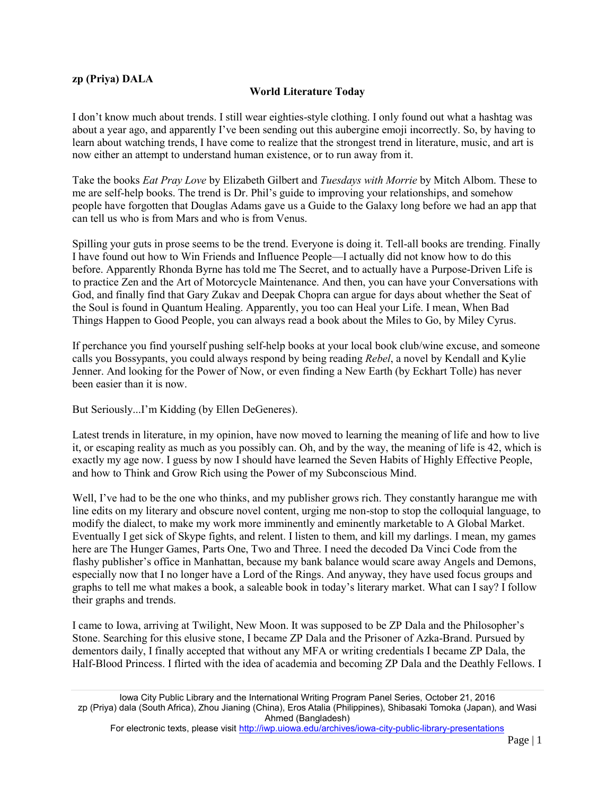## **zp (Priya) DALA**

## **World Literature Today**

I don't know much about trends. I still wear eighties-style clothing. I only found out what a hashtag was about a year ago, and apparently I've been sending out this aubergine emoji incorrectly. So, by having to learn about watching trends, I have come to realize that the strongest trend in literature, music, and art is now either an attempt to understand human existence, or to run away from it.

Take the books *Eat Pray Love* by Elizabeth Gilbert and *Tuesdays with Morrie* by Mitch Albom. These to me are self-help books. The trend is Dr. Phil's guide to improving your relationships, and somehow people have forgotten that Douglas Adams gave us a Guide to the Galaxy long before we had an app that can tell us who is from Mars and who is from Venus.

Spilling your guts in prose seems to be the trend. Everyone is doing it. Tell-all books are trending. Finally I have found out how to Win Friends and Influence People—I actually did not know how to do this before. Apparently Rhonda Byrne has told me The Secret, and to actually have a Purpose-Driven Life is to practice Zen and the Art of Motorcycle Maintenance. And then, you can have your Conversations with God, and finally find that Gary Zukav and Deepak Chopra can argue for days about whether the Seat of the Soul is found in Quantum Healing. Apparently, you too can Heal your Life. I mean, When Bad Things Happen to Good People, you can always read a book about the Miles to Go, by Miley Cyrus.

If perchance you find yourself pushing self-help books at your local book club/wine excuse, and someone calls you Bossypants, you could always respond by being reading *Rebel*, a novel by Kendall and Kylie Jenner. And looking for the Power of Now, or even finding a New Earth (by Eckhart Tolle) has never been easier than it is now.

But Seriously...I'm Kidding (by Ellen DeGeneres).

Latest trends in literature, in my opinion, have now moved to learning the meaning of life and how to live it, or escaping reality as much as you possibly can. Oh, and by the way, the meaning of life is 42, which is exactly my age now. I guess by now I should have learned the Seven Habits of Highly Effective People, and how to Think and Grow Rich using the Power of my Subconscious Mind.

Well, I've had to be the one who thinks, and my publisher grows rich. They constantly harangue me with line edits on my literary and obscure novel content, urging me non-stop to stop the colloquial language, to modify the dialect, to make my work more imminently and eminently marketable to A Global Market. Eventually I get sick of Skype fights, and relent. I listen to them, and kill my darlings. I mean, my games here are The Hunger Games, Parts One, Two and Three. I need the decoded Da Vinci Code from the flashy publisher's office in Manhattan, because my bank balance would scare away Angels and Demons, especially now that I no longer have a Lord of the Rings. And anyway, they have used focus groups and graphs to tell me what makes a book, a saleable book in today's literary market. What can I say? I follow their graphs and trends.

I came to Iowa, arriving at Twilight, New Moon. It was supposed to be ZP Dala and the Philosopher's Stone. Searching for this elusive stone, I became ZP Dala and the Prisoner of Azka-Brand. Pursued by dementors daily, I finally accepted that without any MFA or writing credentials I became ZP Dala, the Half-Blood Princess. I flirted with the idea of academia and becoming ZP Dala and the Deathly Fellows. I

Iowa City Public Library and the International Writing Program Panel Series, October 21, 2016 zp (Priya) dala (South Africa), Zhou Jianing (China), Eros Atalia (Philippines), Shibasaki Tomoka (Japan), and Wasi Ahmed (Bangladesh)

For electronic texts, please visit<http://iwp.uiowa.edu/archives/iowa-city-public-library-presentations>